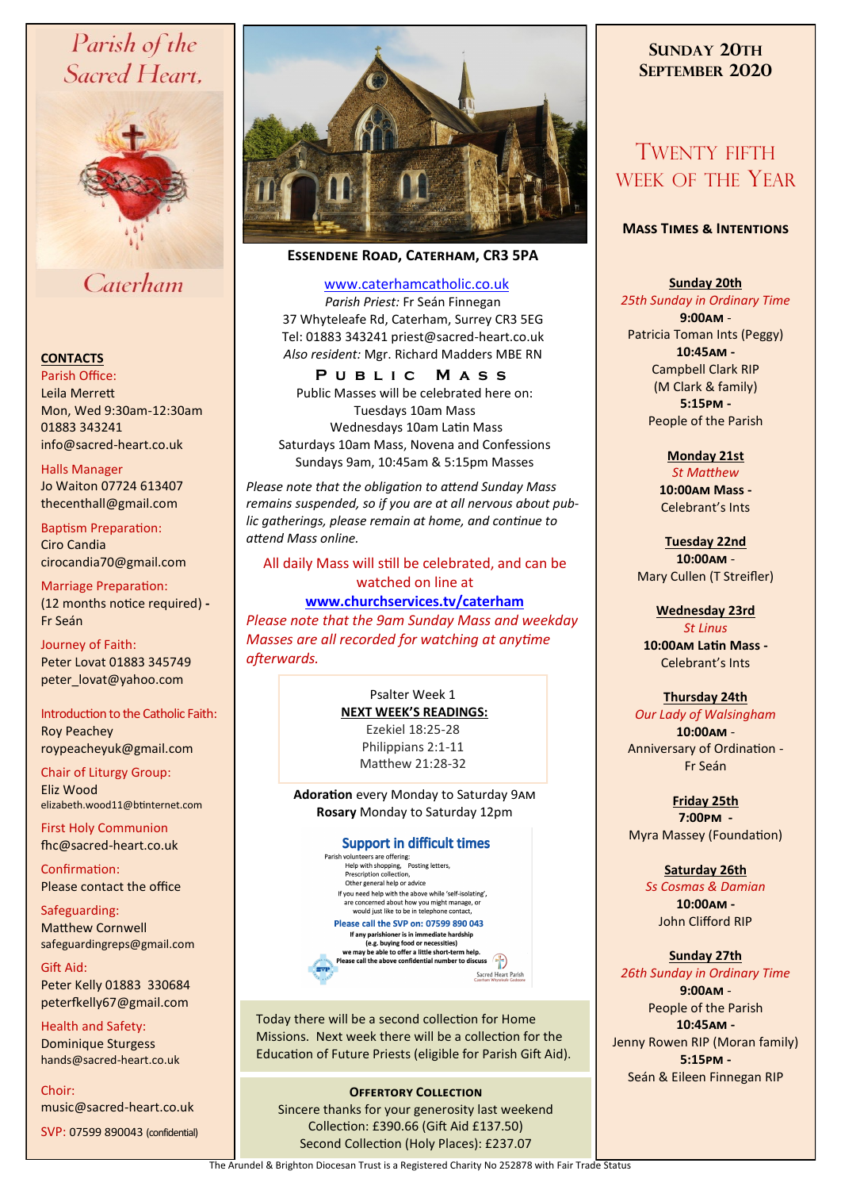# Parish of the Sacred Heart,



# Caterham

#### **CONTACTS**

Parish Office: Leila Merrett Mon, Wed 9:30am-12:30am 01883 343241 info@sacred-heart.co.uk .

Halls Manager Jo Waiton 07724 613407 thecenthall@gmail.com

Baptism Preparation: Ciro Candia cirocandia70@gmail.com

Marriage Preparation: (12 months notice required) **-** Fr Seán

Journey of Faith: Peter Lovat 01883 345749 peter\_lovat@yahoo.com

Introduction to the Catholic Faith:

Roy Peachey roypeacheyuk@gmail.com

Chair of Liturgy Group: Eliz Wood elizabeth.wood11@btinternet.com

First Holy Communion fhc@sacred-heart.co.uk

Confirmation: Please contact the office

Safeguarding: Matthew Cornwell safeguardingreps@gmail.com

Gift Aid: Peter Kelly 01883 330684 peterfkelly67@gmail.com

Health and Safety: Dominique Sturgess hands@sacred-heart.co.uk

Choir: music@sacred-heart.co.uk

SVP: 07599 890043 (confidential)



## **Essendene Road, Caterham, CR3 5PA**

#### [www.caterhamcatholic.co.uk](http://Www.caterhamcatholic.co.uk)

*Parish Priest:* Fr Seán Finnegan 37 Whyteleafe Rd, Caterham, Surrey CR3 5EG Tel: 01883 343241 priest@sacred-heart.co.uk *Also resident:* Mgr. Richard Madders MBE RN

**P u b l i c M a s s**

Public Masses will be celebrated here on: Tuesdays 10am Mass Wednesdays 10am Latin Mass Saturdays 10am Mass, Novena and Confessions Sundays 9am, 10:45am & 5:15pm Masses

*Please note that the obligation to attend Sunday Mass remains suspended, so if you are at all nervous about public gatherings, please remain at home, and continue to attend Mass online.*

All daily Mass will still be celebrated, and can be watched on line at

**[www.churchservices.tv/caterham](http://www.churchservices.tv/caterham)** 

*Please note that the 9am Sunday Mass and weekday Masses are all recorded for watching at anytime afterwards.*

> Psalter Week 1 **NEXT WEEK'S READINGS:**

Ezekiel 18:25-28 Philippians 2:1-11 Matthew 21:28-32

**Adoration** every Monday to Saturday 9am **Rosary** Monday to Saturday 12pm

#### **Support in difficult times**

Parish volunteers are offering:<br>
Help with shopping, Posting letters,<br>
Prescription collection, Other general help or advice If you need help with the above while 'self-isolating', are concerned about how you might manage, or would just like to be in telephone contact Please call the SVP on: 07599 890 043 If any parishioner is in immediate hardship

If any parishioner is in immediate hardship<br>we may be able to offer a little short-term help.<br>we may be able to offer a little short-term help.<br>Please call the above confidential number to discuss Sacred Heart Parish

Today there will be a second collection for Home Missions. Next week there will be a collection for the Education of Future Priests (eligible for Parish Gift Aid).

#### **OFFERTORY COLLECTION** Sincere thanks for your generosity last weekend Collection: £390.66 (Gift Aid £137.50)

Second Collection (Holy Places): £237.07

## **SUNDAY 20TH SEPTEMBER 2020**

# TWENTY FIFTH WEEK OF THE YEAR

#### **Mass Times & Intentions**

### **Sunday 20th**

*25th Sunday in Ordinary Time* **9:00am** - Patricia Toman Ints (Peggy) **10:45am -** Campbell Clark RIP (M Clark & family) **5:15pm -** People of the Parish

**Monday 21st** 

*St Matthew* **10:00am Mass -** Celebrant's Ints

**Tuesday 22nd 10:00am** - Mary Cullen (T Streifler)

## **Wednesday 23rd**

*St Linus* **10:00am Latin Mass -** Celebrant's Ints

#### **Thursday 24th**

*Our Lady of Walsingham* **10:00am** - Anniversary of Ordination - Fr Seán

**Friday 25th 7:00pm -** Myra Massey (Foundation)

## **Saturday 26th**

*Ss Cosmas & Damian* **10:00am -**  John Clifford RIP

# **Sunday 27th**

*26th Sunday in Ordinary Time* **9:00am** - People of the Parish **10:45am -** Jenny Rowen RIP (Moran family) **5:15pm -** Seán & Eileen Finnegan RIP

The Arundel & Brighton Diocesan Trust is a Registered Charity No 252878 with Fair Trade Status